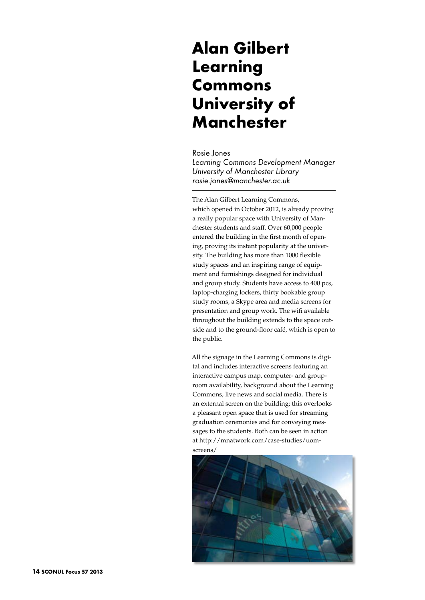## **Alan Gilbert Learning Commons University of Manchester**

Rosie Jones *Learning Commons Development Manager University of Manchester Library rosie.jones@manchester.ac.uk*

The Alan Gilbert Learning Commons, which opened in October 2012, is already proving a really popular space with University of Manchester students and staff. Over 60,000 people entered the building in the first month of opening, proving its instant popularity at the university. The building has more than 1000 flexible study spaces and an inspiring range of equipment and furnishings designed for individual and group study. Students have access to 400 pcs, laptop-charging lockers, thirty bookable group study rooms, a Skype area and media screens for presentation and group work. The wifi available throughout the building extends to the space outside and to the ground-floor café, which is open to the public.

All the signage in the Learning Commons is digital and includes interactive screens featuring an interactive campus map, computer- and grouproom availability, background about the Learning Commons, live news and social media. There is an external screen on the building; this overlooks a pleasant open space that is used for streaming graduation ceremonies and for conveying messages to the students. Both can be seen in action at http://mnatwork.com/case-studies/uomscreens/

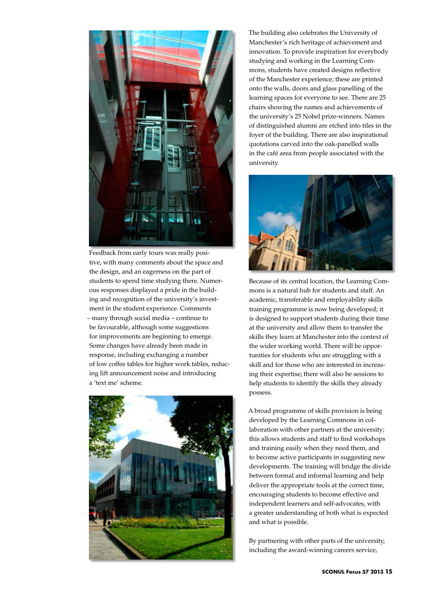

Feedback from early tours was really positive, with many comments about the space and the design, and an eagerness on the part of students to spend time studying there. Numerous responses displayed a pride in the building and recognition of the university's investment in the student experience. Comments – many through social media – continue to be favourable, although some suggestions for improvements are beginning to emerge. Some changes have already been made in response, including exchanging a number of low coffee tables for higher work tables, reducing lift announcement noise and introducing a 'text me' scheme.



The building also celebrates the University of Manchester's rich heritage of achievement and innovation. To provide inspiration for everybody studying and working in the Learning Commons, students have created designs reflective of the Manchester experience; these are printed onto the walls, doors and glass panelling of the learning spaces for everyone to see. There are 25 chairs showing the names and achievements of the university's 25 Nobel prize-winners. Names of distinguished alumni are etched into tiles in the foyer of the building. There are also inspirational quotations carved into the oak-panelled walls in the café area from people associated with the university.



Because of its central location, the Learning Commons is a natural hub for students and staff. An academic, transferable and employability skills training programme is now being developed; it is designed to support students during their time at the university and allow them to transfer the skills they learn at Manchester into the context of the wider working world. There will be opportunities for students who are struggling with a skill and for those who are interested in increasing their expertise; there will also be sessions to help students to identify the skills they already possess.

A broad programme of skills provision is being developed by the Learning Commons in collaboration with other partners at the university; this allows students and staff to find workshops and training easily when they need them, and to become active participants in suggesting new developments. The training will bridge the divide between formal and informal learning and help deliver the appropriate tools at the correct time, encouraging students to become effective and independent learners and self-advocates, with a greater understanding of both what is expected and what is possible.

By partnering with other parts of the university, including the award-winning careers service,